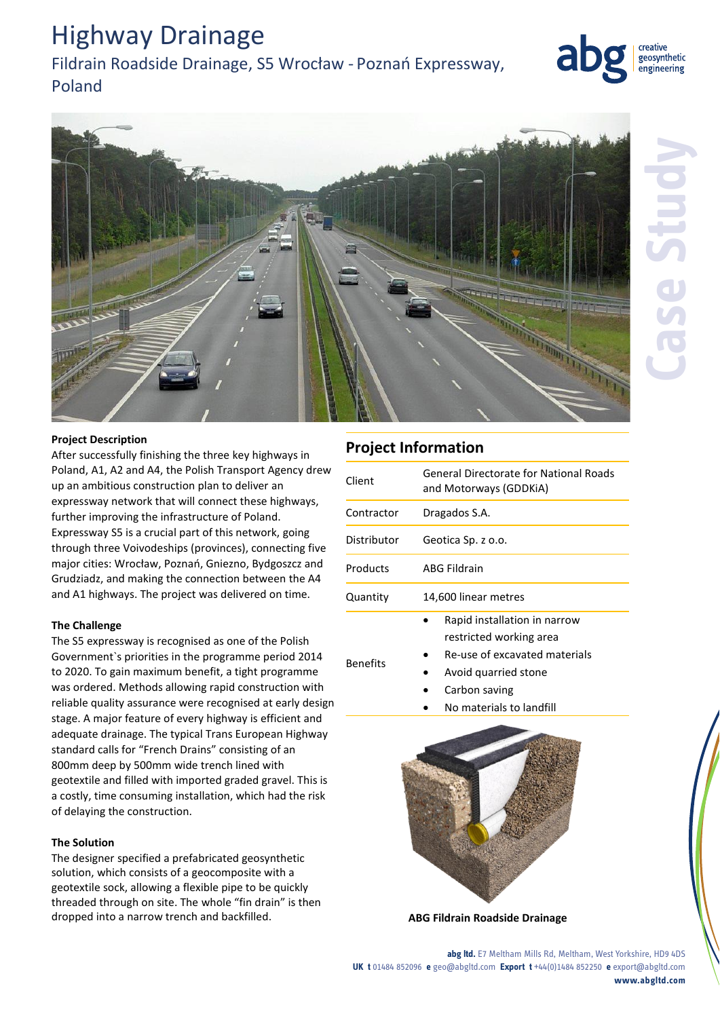# Highway Drainage

## Fildrain Roadside Drainage, S5 Wrocław - Poznań Expressway, Poland



geosynthetic engineering

#### **Project Description**

After successfully finishing the three key highways in Poland, A1, A2 and A4, the Polish Transport Agency drew up an ambitious construction plan to deliver an expressway network that will connect these highways, further improving the infrastructure of Poland. Expressway S5 is a crucial part of this network, going through three Voivodeships (provinces), connecting five major cities: Wrocław, Poznań, Gniezno, Bydgoszcz and Grudziadz, and making the connection between the A4 and A1 highways. The project was delivered on time.

#### **The Challenge**

The S5 expressway is recognised as one of the Polish Government`s priorities in the programme period 2014 to 2020. To gain maximum benefit, a tight programme was ordered. Methods allowing rapid construction with reliable quality assurance were recognised at early design stage. A major feature of every highway is efficient and adequate drainage. The typical Trans European Highway standard calls for "French Drains" consisting of an 800mm deep by 500mm wide trench lined with geotextile and filled with imported graded gravel. This is a costly, time consuming installation, which had the risk of delaying the construction.

#### **The Solution**

The designer specified a prefabricated geosynthetic solution, which consists of a geocomposite with a geotextile sock, allowing a flexible pipe to be quickly threaded through on site. The whole "fin drain" is then dropped into a narrow trench and backfilled. **ABG Fildrain Roadside Drainage**

### **Project Information**

| Client          | General Directorate for National Roads<br>and Motorways (GDDKiA)                                                                  |
|-----------------|-----------------------------------------------------------------------------------------------------------------------------------|
| Contractor      | Dragados S.A.                                                                                                                     |
| Distributor     | Geotica Sp. z o.o.                                                                                                                |
| Products        | <b>ABG Fildrain</b>                                                                                                               |
| Quantity        | 14,600 linear metres                                                                                                              |
| <b>Benefits</b> | Rapid installation in narrow<br>restricted working area<br>Re-use of excavated materials<br>Avoid quarried stone<br>Carbon saving |

No materials to landfill



**abg ltd.** E7 Meltham Mills Rd, Meltham, West Yorkshire, HD9 4DS **UK t** 01484 852096 **e** geo@abgltd.com **Export t** +44(0)1484 852250 **e** export@abgltd.com **www.abgltd.com**